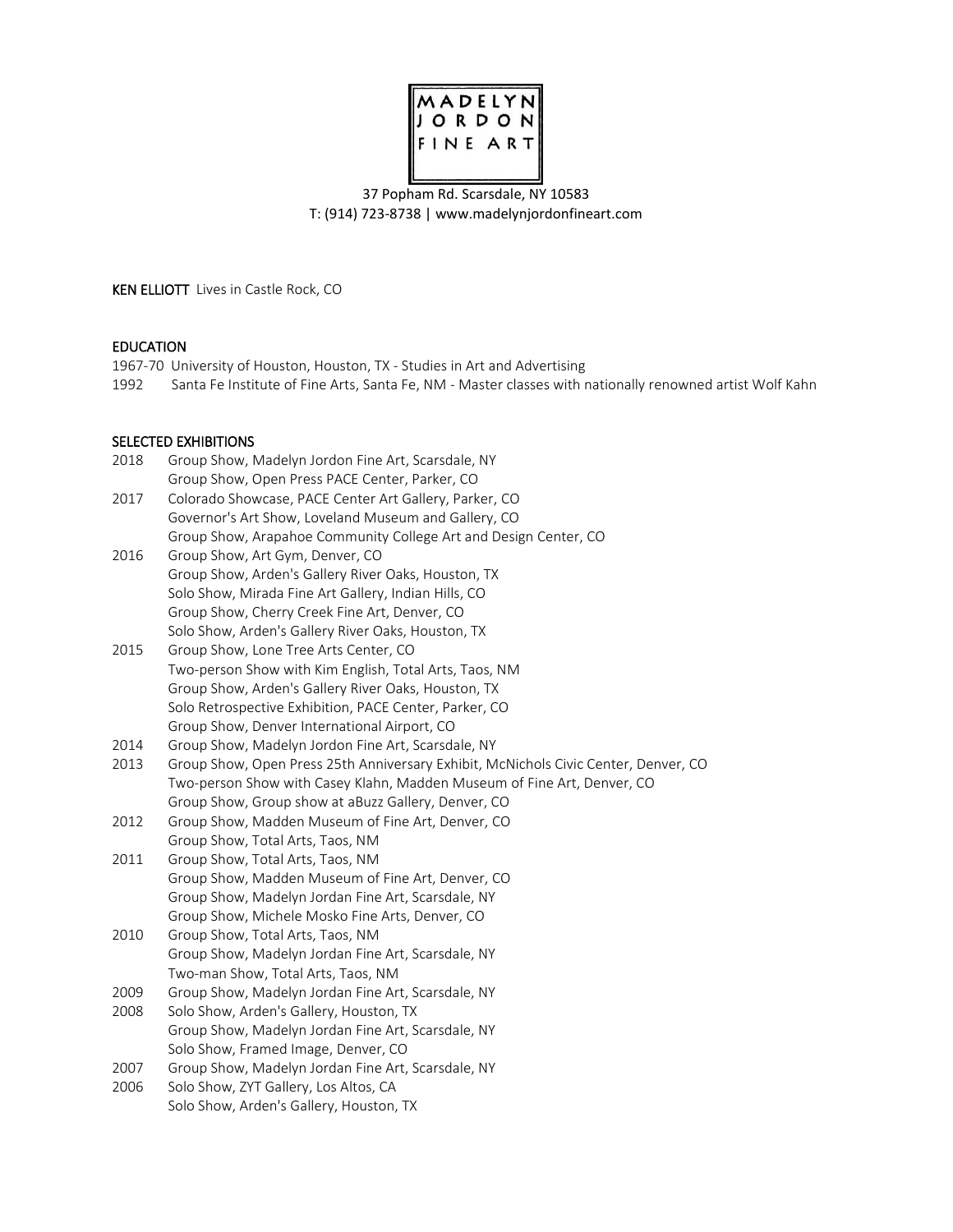

37 Popham Rd. Scarsdale, NY 10583 T: (914) 723-8738 | www.madelynjordonfineart.com

KEN ELLIOTT Lives in Castle Rock, CO

## EDUCATION

1967-70 University of Houston, Houston, TX - Studies in Art and Advertising 1992 Santa Fe Institute of Fine Arts, Santa Fe, NM - Master classes with nationally renowned artist Wolf Kahn

## SELECTED EXHIBITIONS

| 2018 | Group Show, Madelyn Jordon Fine Art, Scarsdale, NY                                  |
|------|-------------------------------------------------------------------------------------|
|      | Group Show, Open Press PACE Center, Parker, CO                                      |
| 2017 | Colorado Showcase, PACE Center Art Gallery, Parker, CO                              |
|      | Governor's Art Show, Loveland Museum and Gallery, CO                                |
|      | Group Show, Arapahoe Community College Art and Design Center, CO                    |
| 2016 | Group Show, Art Gym, Denver, CO                                                     |
|      | Group Show, Arden's Gallery River Oaks, Houston, TX                                 |
|      | Solo Show, Mirada Fine Art Gallery, Indian Hills, CO                                |
|      | Group Show, Cherry Creek Fine Art, Denver, CO                                       |
|      | Solo Show, Arden's Gallery River Oaks, Houston, TX                                  |
| 2015 | Group Show, Lone Tree Arts Center, CO                                               |
|      | Two-person Show with Kim English, Total Arts, Taos, NM                              |
|      | Group Show, Arden's Gallery River Oaks, Houston, TX                                 |
|      | Solo Retrospective Exhibition, PACE Center, Parker, CO                              |
|      | Group Show, Denver International Airport, CO                                        |
| 2014 | Group Show, Madelyn Jordon Fine Art, Scarsdale, NY                                  |
| 2013 | Group Show, Open Press 25th Anniversary Exhibit, McNichols Civic Center, Denver, CO |
|      | Two-person Show with Casey Klahn, Madden Museum of Fine Art, Denver, CO             |
|      | Group Show, Group show at aBuzz Gallery, Denver, CO                                 |
| 2012 | Group Show, Madden Museum of Fine Art, Denver, CO                                   |
|      | Group Show, Total Arts, Taos, NM                                                    |
| 2011 | Group Show, Total Arts, Taos, NM                                                    |
|      | Group Show, Madden Museum of Fine Art, Denver, CO                                   |
|      | Group Show, Madelyn Jordan Fine Art, Scarsdale, NY                                  |
|      | Group Show, Michele Mosko Fine Arts, Denver, CO                                     |
| 2010 | Group Show, Total Arts, Taos, NM                                                    |
|      | Group Show, Madelyn Jordan Fine Art, Scarsdale, NY                                  |
|      | Two-man Show, Total Arts, Taos, NM                                                  |
| 2009 | Group Show, Madelyn Jordan Fine Art, Scarsdale, NY                                  |
| 2008 | Solo Show, Arden's Gallery, Houston, TX                                             |
|      | Group Show, Madelyn Jordan Fine Art, Scarsdale, NY                                  |
|      | Solo Show, Framed Image, Denver, CO                                                 |
| 2007 | Group Show, Madelyn Jordan Fine Art, Scarsdale, NY                                  |
| 2006 | Solo Show, ZYT Gallery, Los Altos, CA                                               |
|      | Solo Show, Arden's Gallery, Houston, TX                                             |